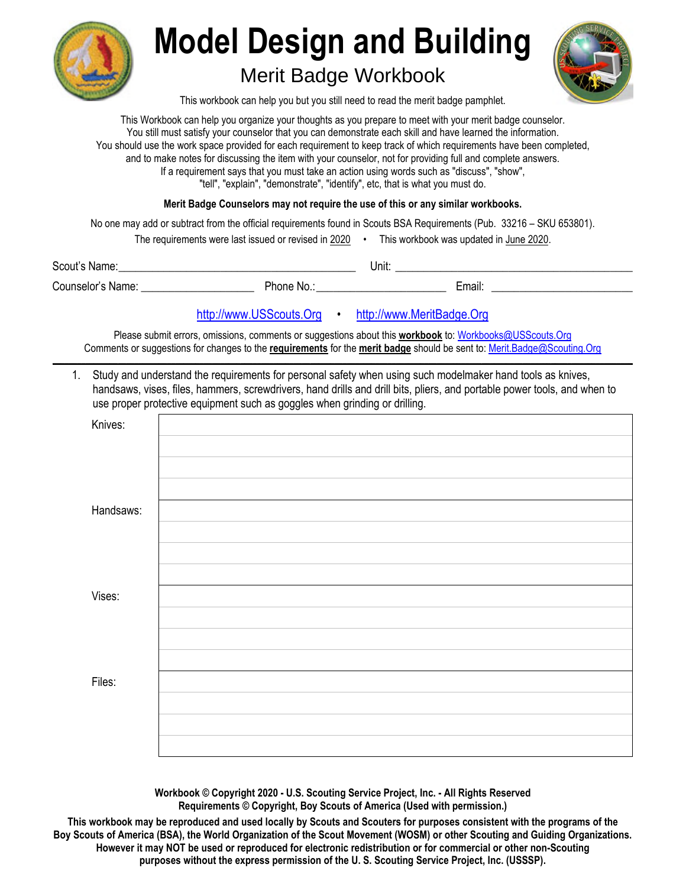

## **Model Design and Building**

## Merit Badge Workbook



This workbook can help you but you still need to read the merit badge pamphlet.

This Workbook can help you organize your thoughts as you prepare to meet with your merit badge counselor. You still must satisfy your counselor that you can demonstrate each skill and have learned the information. You should use the work space provided for each requirement to keep track of which requirements have been completed, and to make notes for discussing the item with your counselor, not for providing full and complete answers. If a requirement says that you must take an action using words such as "discuss", "show", "tell", "explain", "demonstrate", "identify", etc, that is what you must do.

**Merit Badge Counselors may not require the use of this or any similar workbooks.**

No one may add or subtract from the official requirements found in Scouts BSA Requirements (Pub. 33216 – SKU 653801).

The requirements were last issued or revised in  $2020$  • This workbook was updated in June 2020.

| Scout<br>Name.                                                                                                                                                                                                                                                                                                                                                           |             | Unit: |                                                |  |
|--------------------------------------------------------------------------------------------------------------------------------------------------------------------------------------------------------------------------------------------------------------------------------------------------------------------------------------------------------------------------|-------------|-------|------------------------------------------------|--|
| $^{\circ}$ $^{\circ}$ $^{\circ}$ $^{\circ}$ $^{\circ}$ $^{\circ}$ $^{\circ}$ $^{\circ}$ $^{\circ}$ $^{\circ}$ $^{\circ}$ $^{\circ}$ $^{\circ}$ $^{\circ}$ $^{\circ}$ $^{\circ}$ $^{\circ}$ $^{\circ}$ $^{\circ}$ $^{\circ}$ $^{\circ}$ $^{\circ}$ $^{\circ}$ $^{\circ}$ $^{\circ}$ $^{\circ}$ $^{\circ}$ $^{\circ}$ $^{\circ}$ $^{\circ}$ $^{\circ}$ $^{\circ}$<br>Name. | Phone<br>N0 |       | $\overline{\phantom{a}}$<br>.<br>$-$<br>Email: |  |

http://www.USScouts.Org • http://www.MeritBadge.Org

Please submit errors, omissions, comments or suggestions about this **workbook** to: Workbooks@USScouts.Org Comments or suggestions for changes to the **requirements** for the **merit badge** should be sent to: Merit.Badge@Scouting.Org *\_\_\_\_\_\_\_\_\_\_\_\_\_\_\_\_\_\_\_\_\_\_\_\_\_\_\_\_\_\_\_\_\_\_\_\_\_\_\_\_\_\_\_\_\_\_\_\_\_\_\_\_\_\_\_\_\_\_\_\_\_\_\_\_\_\_\_\_\_\_\_\_\_\_\_\_\_\_\_\_\_\_\_\_\_\_\_\_\_\_\_\_\_\_\_\_\_\_\_\_\_\_\_\_\_\_\_\_\_\_\_\_\_\_\_\_\_\_\_\_\_\_\_\_\_\_\_\_\_\_\_\_\_\_\_\_\_\_\_\_\_\_* 

 1. Study and understand the requirements for personal safety when using such modelmaker hand tools as knives, handsaws, vises, files, hammers, screwdrivers, hand drills and drill bits, pliers, and portable power tools, and when to use proper protective equipment such as goggles when grinding or drilling.

| Knives:   |  |
|-----------|--|
|           |  |
|           |  |
|           |  |
| Handsaws: |  |
|           |  |
|           |  |
|           |  |
| Vises:    |  |
|           |  |
|           |  |
|           |  |
| Files:    |  |
|           |  |
|           |  |
|           |  |
|           |  |

**Workbook © Copyright 2020 - U.S. Scouting Service Project, Inc. - All Rights Reserved Requirements © Copyright, Boy Scouts of America (Used with permission.)** 

**This workbook may be reproduced and used locally by Scouts and Scouters for purposes consistent with the programs of the Boy Scouts of America (BSA), the World Organization of the Scout Movement (WOSM) or other Scouting and Guiding Organizations. However it may NOT be used or reproduced for electronic redistribution or for commercial or other non-Scouting purposes without the express permission of the U. S. Scouting Service Project, Inc. (USSSP).**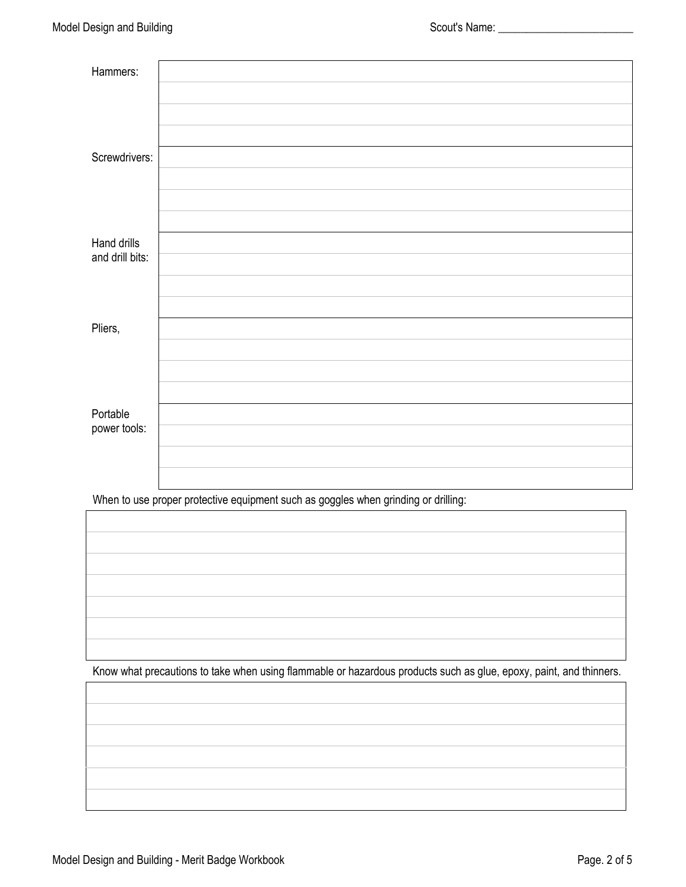| Hammers:        |  |
|-----------------|--|
|                 |  |
|                 |  |
|                 |  |
| Screwdrivers:   |  |
|                 |  |
|                 |  |
|                 |  |
| Hand drills     |  |
| and drill bits: |  |
|                 |  |
|                 |  |
| Pliers,         |  |
|                 |  |
|                 |  |
|                 |  |
| Portable        |  |
| power tools:    |  |
|                 |  |
|                 |  |

When to use proper protective equipment such as goggles when grinding or drilling:

Know what precautions to take when using flammable or hazardous products such as glue, epoxy, paint, and thinners.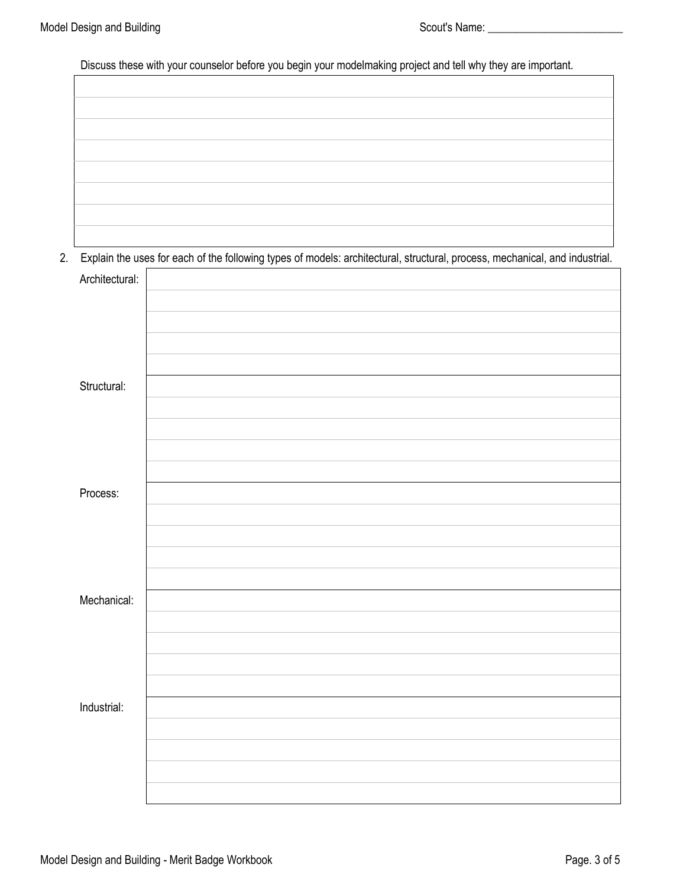Discuss these with your counselor before you begin your modelmaking project and tell why they are important.

2. Explain the uses for each of the following types of models: architectural, structural, process, mechanical, and industrial.

|                | $\sim$ $\sim$ $\sim$ | $\sim$<br><b><i>P.A.</i></b><br>$\overline{\phantom{a}}$ | $\overline{\phantom{a}}$ |
|----------------|----------------------|----------------------------------------------------------|--------------------------|
| Architectural: |                      |                                                          |                          |
|                |                      |                                                          |                          |
|                |                      |                                                          |                          |
|                |                      |                                                          |                          |
|                |                      |                                                          |                          |
| Structural:    |                      |                                                          |                          |
|                |                      |                                                          |                          |
|                |                      |                                                          |                          |
|                |                      |                                                          |                          |
|                |                      |                                                          |                          |
| Process:       |                      |                                                          |                          |
|                |                      |                                                          |                          |
|                |                      |                                                          |                          |
|                |                      |                                                          |                          |
|                |                      |                                                          |                          |
| Mechanical:    |                      |                                                          |                          |
|                |                      |                                                          |                          |
|                |                      |                                                          |                          |
|                |                      |                                                          |                          |
|                |                      |                                                          |                          |
| Industrial:    |                      |                                                          |                          |
|                |                      |                                                          |                          |
|                |                      |                                                          |                          |
|                |                      |                                                          |                          |
|                |                      |                                                          |                          |
|                |                      |                                                          |                          |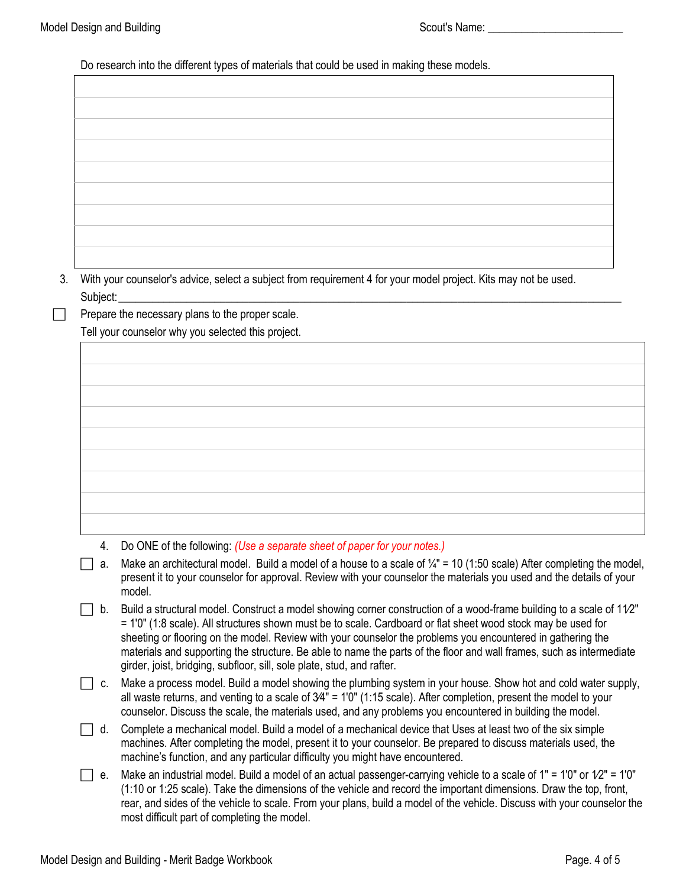Do research into the different types of materials that could be used in making these models.

 3. With your counselor's advice, select a subject from requirement 4 for your model project. Kits may not be used. Subject: \_\_\_\_\_\_\_\_\_\_\_\_\_\_\_\_\_\_\_\_\_\_\_\_\_\_\_\_\_\_\_\_\_\_\_\_\_\_\_\_\_\_\_\_\_\_\_\_\_\_\_\_\_\_\_\_\_\_\_\_\_\_\_\_\_\_\_\_\_\_\_\_\_\_\_\_\_\_\_\_\_\_\_\_\_\_\_\_\_

 Prepare the necessary plans to the proper scale. Tell your counselor why you selected this project.

4. Do ONE of the following: *(Use a separate sheet of paper for your notes.)*

a. Make an architectural model. Build a model of a house to a scale of  $\frac{1}{4}$ " = 10 (1:50 scale) After completing the model, present it to your counselor for approval. Review with your counselor the materials you used and the details of your model.

- $\Box$  b. Build a structural model. Construct a model showing corner construction of a wood-frame building to a scale of 1 $1/2$ " = 1'0" (1:8 scale). All structures shown must be to scale. Cardboard or flat sheet wood stock may be used for sheeting or flooring on the model. Review with your counselor the problems you encountered in gathering the materials and supporting the structure. Be able to name the parts of the floor and wall frames, such as intermediate girder, joist, bridging, subfloor, sill, sole plate, stud, and rafter.
- $\Box$  c. Make a process model. Build a model showing the plumbing system in your house. Show hot and cold water supply, all waste returns, and venting to a scale of 3⁄4" = 1'0" (1:15 scale). After completion, present the model to your counselor. Discuss the scale, the materials used, and any problems you encountered in building the model.
- $\Box$  d. Complete a mechanical model. Build a model of a mechanical device that Uses at least two of the six simple machines. After completing the model, present it to your counselor. Be prepared to discuss materials used, the machine's function, and any particular difficulty you might have encountered.
- e. Make an industrial model. Build a model of an actual passenger-carrying vehicle to a scale of 1" = 1'0" or  $1/2$ " = 1'0" (1:10 or 1:25 scale). Take the dimensions of the vehicle and record the important dimensions. Draw the top, front, rear, and sides of the vehicle to scale. From your plans, build a model of the vehicle. Discuss with your counselor the most difficult part of completing the model.